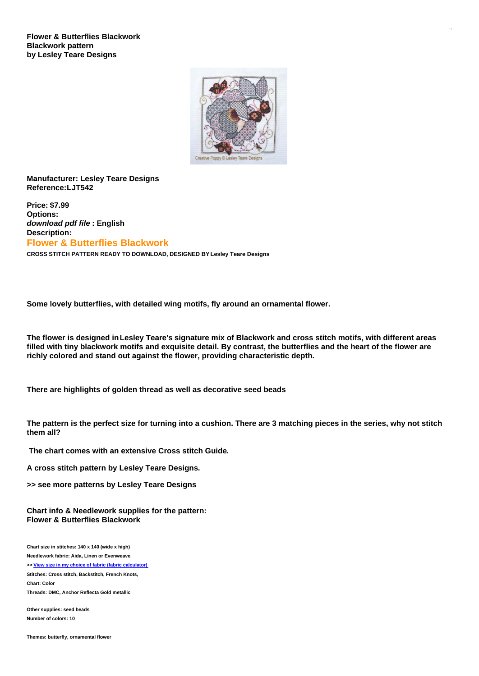**Flower & Butterflies Blackwork Blackwork pattern by Lesley Teare Designs**



## **Manufacturer: Lesley Teare Designs Reference:LJT542**

**Price: \$7.99 Options:** *download pdf file* **: English Description: Flower & Butterflies Blackwork**

**CROSS STITCH PATTERN READY TO DOWNLOAD, DESIGNED BY Lesley Teare Designs**

**Some lovely butterflies, with detailed wing motifs, fly around an ornamental flower.**

The flower is designed in Lesley Teare's signature mix of Blackwork and cross stitch motifs, with different areas filled with tiny blackwork motifs and exquisite detail. By contrast, the butterflies and the heart of the flower are **richly colored and stand out against the flower, providing characteristic depth.**

**There are highlights of golden thread as well as decorative seed beads**

The pattern is the perfect size for turning into a cushion. There are 3 matching pieces in the series, why not stitch **them all?**

**The chart comes with an extensive Cross stitch Guide.**

**A cross stitch pattern by Lesley Teare Designs.**

**>> see more patterns by Lesley Teare Designs**

**Chart info & Needlework supplies for the pattern: Flower & Butterflies Blackwork**

**Chart size in stitches: 140 x 140 (wide x high)**

**Needlework fabric: Aida, Linen or Evenweave**

**>> View size in my choice of fabric (fabric [calculator\)](https://www.creativepoppypatterns.com/calculette-de-toile.php?products_id=3070&w=140&h=140)**

**Stitches: Cross stitch, Backstitch, French Knots, Chart: Color**

**Threads: DMC, Anchor Reflecta Gold metallic**

**Other supplies: seed beads Number of colors: 10**

**Themes: butterfly, ornamental flower**